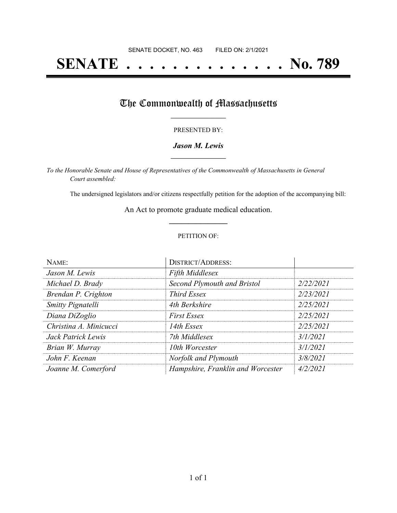# **SENATE . . . . . . . . . . . . . . No. 789**

## The Commonwealth of Massachusetts

#### PRESENTED BY:

#### *Jason M. Lewis* **\_\_\_\_\_\_\_\_\_\_\_\_\_\_\_\_\_**

*To the Honorable Senate and House of Representatives of the Commonwealth of Massachusetts in General Court assembled:*

The undersigned legislators and/or citizens respectfully petition for the adoption of the accompanying bill:

An Act to promote graduate medical education. **\_\_\_\_\_\_\_\_\_\_\_\_\_\_\_**

#### PETITION OF:

| NAME:                    | <b>DISTRICT/ADDRESS:</b>          |           |
|--------------------------|-----------------------------------|-----------|
| Jason M. Lewis           | <b>Fifth Middlesex</b>            |           |
| Michael D. Brady         | Second Plymouth and Bristol       | 2/22/2021 |
| Brendan P. Crighton      | <b>Third Essex</b>                | 2/23/2021 |
| <b>Smitty Pignatelli</b> | 4th Berkshire                     | 2/25/2021 |
| Diana DiZoglio           | <b>First Essex</b>                | 2/25/2021 |
| Christina A. Minicucci   | 14th Essex                        | 2/25/2021 |
| Jack Patrick Lewis       | 7th Middlesex                     | 3/1/2021  |
| Brian W. Murray          | 10th Worcester                    | 3/1/2021  |
| John F. Keenan           | Norfolk and Plymouth              | 3/8/2021  |
| Joanne M. Comerford      | Hampshire, Franklin and Worcester | 4/2/2021  |